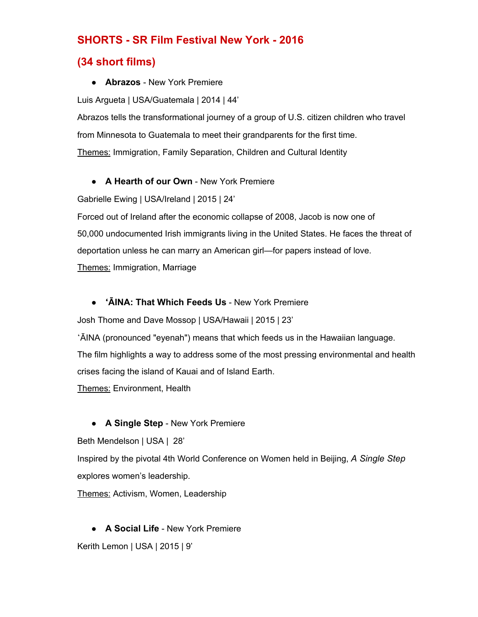# **SHORTS SR Film Festival New York 2016**

# **(34 short films)**

● **Abrazos** New York Premiere

Luis Argueta | USA/Guatemala | 2014 | 44'

Abrazos tells the transformational journey of a group of U.S. citizen children who travel from Minnesota to Guatemala to meet their grandparents for the first time. Themes: Immigration, Family Separation, Children and Cultural Identity

# **• A Hearth of our Own** - New York Premiere

Gabrielle Ewing | USA/Ireland | 2015 | 24'

Forced out of Ireland after the economic collapse of 2008, Jacob is now one of 50,000 undocumented Irish immigrants living in the United States. He faces the threat of deportation unless he can marry an American girl—for papers instead of love. Themes: Immigration, Marriage

# • 'AINA: That Which Feeds Us - New York Premiere

Josh Thome and Dave Mossop | USA/Hawaii | 2015 | 23'

ʻĀINA (pronounced "eyenah") means that which feeds us in the Hawaiian language. The film highlights a way to address some of the most pressing environmental and health crises facing the island of Kauai and of Island Earth.

Themes: Environment, Health

# **• A Single Step** - New York Premiere

Beth Mendelson | USA | 28'

Inspired by the pivotal 4th World Conference on Women held in Beijing, *A Single Step* explores women's leadership.

Themes: Activism, Women, Leadership

**• A Social Life** - New York Premiere

Kerith Lemon | USA | 2015 | 9'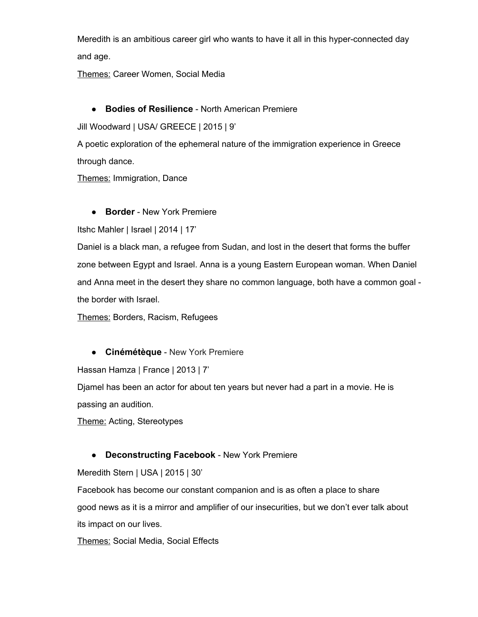Meredith is an ambitious career girl who wants to have it all in this hyper-connected day and age.

Themes: Career Women, Social Media

## ● **Bodies of Resilience** - North American Premiere

Jill Woodward | USA/ GREECE | 2015 | 9'

A poetic exploration of the ephemeral nature of the immigration experience in Greece through dance.

Themes: Immigration, Dance

**• Border** - New York Premiere

Itshc Mahler | Israel | 2014 | 17'

Daniel is a black man, a refugee from Sudan, and lost in the desert that forms the buffer zone between Egypt and Israel. Anna is a young Eastern European woman. When Daniel and Anna meet in the desert they share no common language, both have a common goal the border with Israel.

Themes: Borders, Racism, Refugees

**• Cinémétèque** - New York Premiere

Hassan Hamza | France | 2013 | 7'

Djamel has been an actor for about ten years but never had a part in a movie. He is passing an audition.

Theme: Acting, Stereotypes

### **• Deconstructing Facebook** - New York Premiere

Meredith Stern | USA | 2015 | 30'

Facebook has become our constant companion and is as often a place to share good news as it is a mirror and amplifier of our insecurities, but we don't ever talk about its impact on our lives.

Themes: Social Media, Social Effects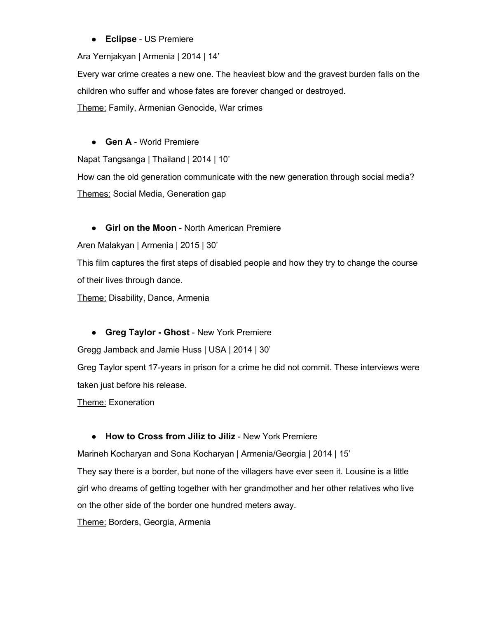## **• Eclipse** - US Premiere

Ara Yernjakyan | Armenia | 2014 | 14'

Every war crime creates a new one. The heaviest blow and the gravest burden falls on the children who suffer and whose fates are forever changed or destroyed.

Theme: Family, Armenian Genocide, War crimes

## ● **Gen A** World Premiere

Napat Tangsanga | Thailand | 2014 | 10'

How can the old generation communicate with the new generation through social media? Themes: Social Media, Generation gap

## **• Girl on the Moon** - North American Premiere

Aren Malakyan | Armenia | 2015 | 30'

This film captures the first steps of disabled people and how they try to change the course of their lives through dance.

Theme: Disability, Dance, Armenia

### **• Greg Taylor - Ghost** - New York Premiere

Gregg Jamback and Jamie Huss | USA | 2014 | 30'

Greg Taylor spent 17-years in prison for a crime he did not commit. These interviews were taken just before his release.

Theme: Exoneration

### ● **How to Cross from Jiliz to Jiliz** New York Premiere

Marineh Kocharyan and Sona Kocharyan | Armenia/Georgia | 2014 | 15'

They say there is a border, but none of the villagers have ever seen it. Lousine is a little girl who dreams of getting together with her grandmother and her other relatives who live on the other side of the border one hundred meters away.

Theme: Borders, Georgia, Armenia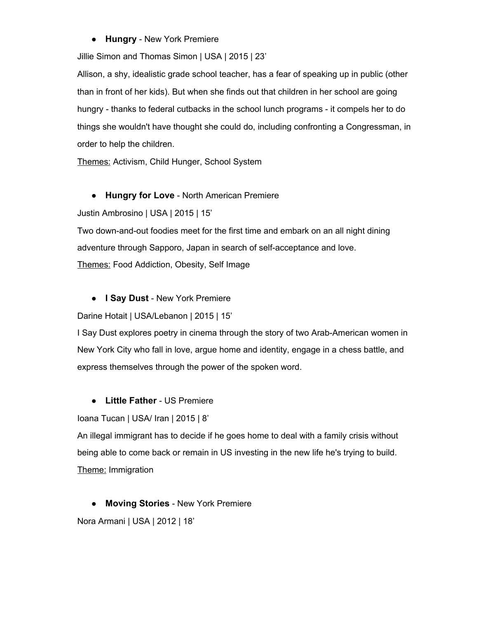## **• Hungry** - New York Premiere

Jillie Simon and Thomas Simon | USA | 2015 | 23'

Allison, a shy, idealistic grade school teacher, has a fear of speaking up in public (other than in front of her kids). But when she finds out that children in her school are going hungry - thanks to federal cutbacks in the school lunch programs - it compels her to do things she wouldn't have thought she could do, including confronting a Congressman, in order to help the children.

Themes: Activism, Child Hunger, School System

# **• Hungry for Love** - North American Premiere

Justin Ambrosino | USA | 2015 | 15'

Two down-and-out foodies meet for the first time and embark on an all night dining adventure through Sapporo, Japan in search of self-acceptance and love.

Themes: Food Addiction, Obesity, Self Image

# **• I Say Dust** - New York Premiere

Darine Hotait | USA/Lebanon | 2015 | 15'

I Say Dust explores poetry in cinema through the story of two Arab-American women in New York City who fall in love, argue home and identity, engage in a chess battle, and express themselves through the power of the spoken word.

# **•** Little Father - US Premiere

Ioana Tucan | USA/ Iran | 2015 | 8'

An illegal immigrant has to decide if he goes home to deal with a family crisis without being able to come back or remain in US investing in the new life he's trying to build. Theme: Immigration

**• Moving Stories** - New York Premiere Nora Armani | USA | 2012 | 18'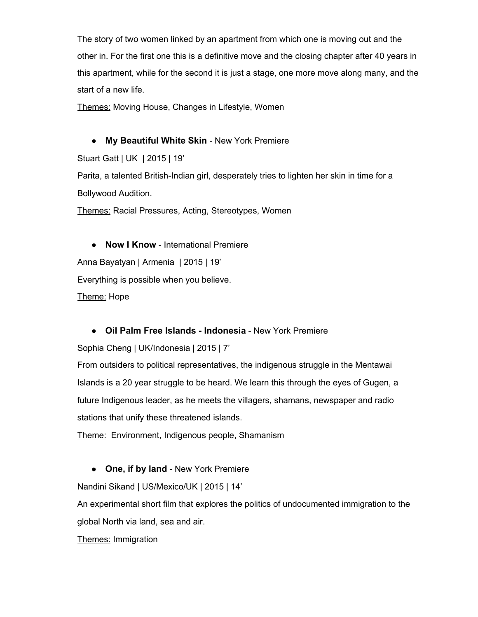The story of two women linked by an apartment from which one is moving out and the other in. For the first one this is a definitive move and the closing chapter after 40 years in this apartment, while for the second it is just a stage, one more move along many, and the start of a new life.

Themes: Moving House, Changes in Lifestyle, Women

• My Beautiful White Skin - New York Premiere

Stuart Gatt | UK | 2015 | 19'

Parita, a talented British-Indian girl, desperately tries to lighten her skin in time for a Bollywood Audition.

Themes: Racial Pressures, Acting, Stereotypes, Women

● **Now I Know** International Premiere Anna Bayatyan | Armenia | 2015 | 19' Everything is possible when you believe. Theme: Hope

**• Oil Palm Free Islands - Indonesia** - New York Premiere

Sophia Cheng | UK/Indonesia | 2015 | 7'

From outsiders to political representatives, the indigenous struggle in the Mentawai Islands is a 20 year struggle to be heard. We learn this through the eyes of Gugen, a future Indigenous leader, as he meets the villagers, shamans, newspaper and radio stations that unify these threatened islands.

Theme: Environment, Indigenous people, Shamanism

### • One, if by land - New York Premiere

Nandini Sikand | US/Mexico/UK | 2015 | 14'

An experimental short film that explores the politics of undocumented immigration to the global North via land, sea and air.

Themes: Immigration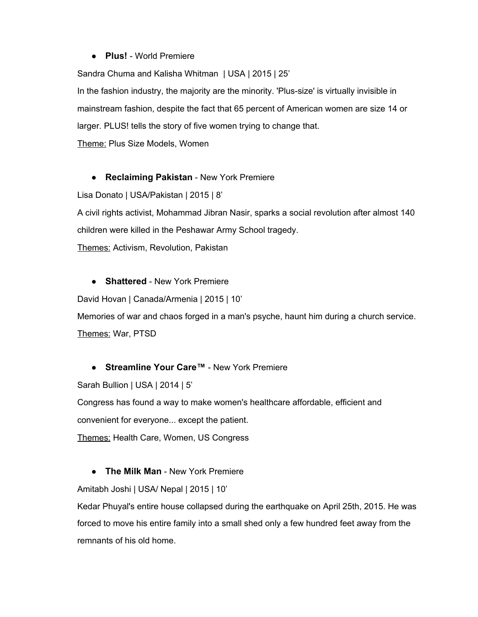#### ● **Plus!** World Premiere

Sandra Chuma and Kalisha Whitman | USA | 2015 | 25'

In the fashion industry, the majority are the minority. 'Plus-size' is virtually invisible in mainstream fashion, despite the fact that 65 percent of American women are size 14 or larger. PLUS! tells the story of five women trying to change that.

Theme: Plus Size Models, Women

### **• Reclaiming Pakistan** - New York Premiere

Lisa Donato | USA/Pakistan | 2015 | 8'

A civil rights activist, Mohammad Jibran Nasir, sparks a social revolution after almost 140 children were killed in the Peshawar Army School tragedy.

Themes: Activism, Revolution, Pakistan

**• Shattered** - New York Premiere

David Hovan | Canada/Armenia | 2015 | 10'

Memories of war and chaos forged in a man's psyche, haunt him during a church service. Themes: War, PTSD

### ● Streamline Your Care<sup>™</sup> - New York Premiere

Sarah Bullion | USA | 2014 | 5'

Congress has found a way to make women's healthcare affordable, efficient and

convenient for everyone... except the patient.

Themes: Health Care, Women, US Congress

### **• The Milk Man** - New York Premiere

Amitabh Joshi | USA/ Nepal | 2015 | 10'

Kedar Phuyal's entire house collapsed during the earthquake on April 25th, 2015. He was forced to move his entire family into a small shed only a few hundred feet away from the remnants of his old home.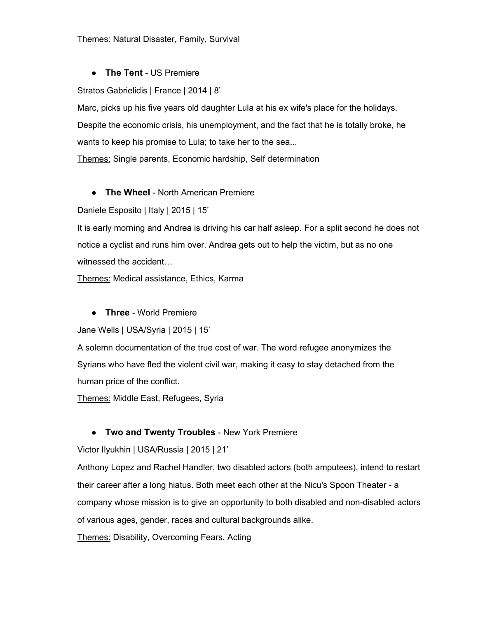## ● **The Tent** US Premiere

Stratos Gabrielidis | France | 2014 | 8'

Marc, picks up his five years old daughter Lula at his ex wife's place for the holidays. Despite the economic crisis, his unemployment, and the fact that he is totally broke, he wants to keep his promise to Lula; to take her to the sea...

Themes: Single parents, Economic hardship, Self determination

## **• The Wheel** - North American Premiere

Daniele Esposito | Italy | 2015 | 15'

It is early morning and Andrea is driving his car half asleep. For a split second he does not notice a cyclist and runs him over. Andrea gets out to help the victim, but as no one witnessed the accident…

Themes: Medical assistance, Ethics, Karma

**• Three** - World Premiere

Jane Wells | USA/Syria | 2015 | 15'

A solemn documentation of the true cost of war. The word refugee anonymizes the Syrians who have fled the violent civil war, making it easy to stay detached from the human price of the conflict.

Themes: Middle East, Refugees, Syria

# **• Two and Twenty Troubles** - New York Premiere

Victor Ilyukhin | USA/Russia | 2015 | 21'

Anthony Lopez and Rachel Handler, two disabled actors (both amputees), intend to restart their career after a long hiatus. Both meet each other at the Nicu's Spoon Theater a company whose mission is to give an opportunity to both disabled and non-disabled actors of various ages, gender, races and cultural backgrounds alike.

Themes: Disability, Overcoming Fears, Acting